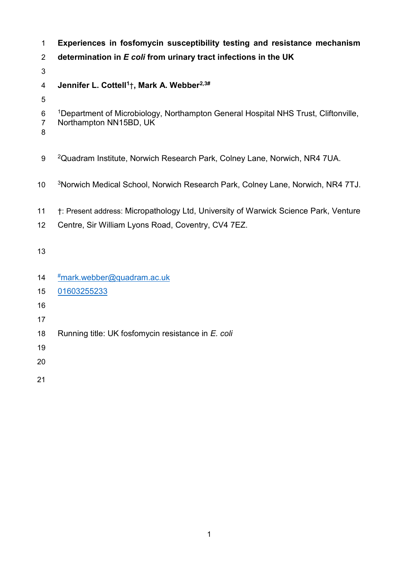| 1                   | Experiences in fosfomycin susceptibility testing and resistance mechanism                      |
|---------------------|------------------------------------------------------------------------------------------------|
| $\overline{2}$      | determination in E coli from urinary tract infections in the UK                                |
| 3                   |                                                                                                |
| 4                   | Jennifer L. Cottell <sup>1</sup> †, Mark A. Webber <sup>2,3#</sup>                             |
| 5                   |                                                                                                |
| 6                   | <sup>1</sup> Department of Microbiology, Northampton General Hospital NHS Trust, Cliftonville, |
| $\overline{7}$<br>8 | Northampton NN15BD, UK                                                                         |
| $9\,$               | <sup>2</sup> Quadram Institute, Norwich Research Park, Colney Lane, Norwich, NR4 7UA.          |
| 10                  | <sup>3</sup> Norwich Medical School, Norwich Research Park, Colney Lane, Norwich, NR4 7TJ.     |
| 11                  | †: Present address: Micropathology Ltd, University of Warwick Science Park, Venture            |
| 12                  | Centre, Sir William Lyons Road, Coventry, CV4 7EZ.                                             |
| 13                  |                                                                                                |
| 14                  | #mark.webber@quadram.ac.uk                                                                     |
| 15                  | 01603255233                                                                                    |
| 16                  |                                                                                                |
| 17                  |                                                                                                |
| 18                  | Running title: UK fosfomycin resistance in E. coli                                             |
| 19                  |                                                                                                |
| 20                  |                                                                                                |
|                     |                                                                                                |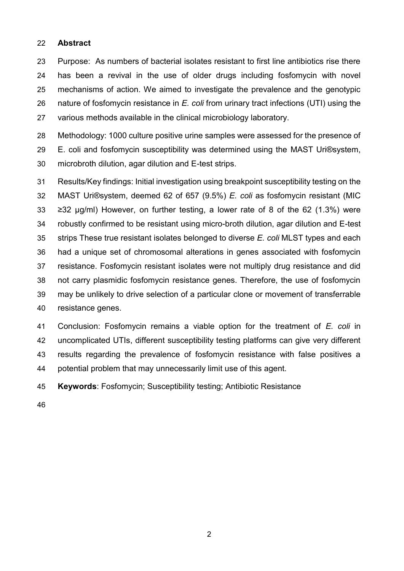### **Abstract**

 Purpose: As numbers of bacterial isolates resistant to first line antibiotics rise there has been a revival in the use of older drugs including fosfomycin with novel mechanisms of action. We aimed to investigate the prevalence and the genotypic nature of fosfomycin resistance in *E. coli* from urinary tract infections (UTI) using the various methods available in the clinical microbiology laboratory.

 Methodology: 1000 culture positive urine samples were assessed for the presence of E. coli and fosfomycin susceptibility was determined using the MAST Uri®system, microbroth dilution, agar dilution and E-test strips.

 Results/Key findings: Initial investigation using breakpoint susceptibility testing on the MAST Uri®system, deemed 62 of 657 (9.5%) *E. coli* as fosfomycin resistant (MIC ≥32 µg/ml) However, on further testing, a lower rate of 8 of the 62 (1.3%) were robustly confirmed to be resistant using micro-broth dilution, agar dilution and E-test strips These true resistant isolates belonged to diverse *E. coli* MLST types and each had a unique set of chromosomal alterations in genes associated with fosfomycin resistance. Fosfomycin resistant isolates were not multiply drug resistance and did not carry plasmidic fosfomycin resistance genes. Therefore, the use of fosfomycin may be unlikely to drive selection of a particular clone or movement of transferrable resistance genes.

 Conclusion: Fosfomycin remains a viable option for the treatment of *E. coli* in uncomplicated UTIs, different susceptibility testing platforms can give very different results regarding the prevalence of fosfomycin resistance with false positives a potential problem that may unnecessarily limit use of this agent.

**Keywords**: Fosfomycin; Susceptibility testing; Antibiotic Resistance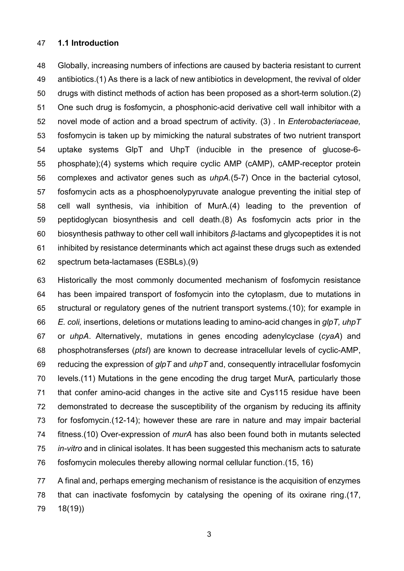## **1.1 Introduction**

 Globally, increasing numbers of infections are caused by bacteria resistant to current antibiotics.(1) As there is a lack of new antibiotics in development, the revival of older drugs with distinct methods of action has been proposed as a short-term solution.(2) One such drug is fosfomycin, a phosphonic-acid derivative cell wall inhibitor with a novel mode of action and a broad spectrum of activity. (3) . In *Enterobacteriaceae,* fosfomycin is taken up by mimicking the natural substrates of two nutrient transport uptake systems GlpT and UhpT (inducible in the presence of glucose-6- phosphate);(4) systems which require cyclic AMP (cAMP), cAMP-receptor protein complexes and activator genes such as *uhpA.*(5-7) Once in the bacterial cytosol, fosfomycin acts as a phosphoenolypyruvate analogue preventing the initial step of cell wall synthesis, via inhibition of MurA.(4) leading to the prevention of peptidoglycan biosynthesis and cell death.(8) As fosfomycin acts prior in the biosynthesis pathway to other cell wall inhibitors *β*-lactams and glycopeptides it is not inhibited by resistance determinants which act against these drugs such as extended spectrum beta-lactamases (ESBLs).(9)

 Historically the most commonly documented mechanism of fosfomycin resistance has been impaired transport of fosfomycin into the cytoplasm, due to mutations in structural or regulatory genes of the nutrient transport systems.(10); for example in *E. coli,* insertions, deletions or mutations leading to amino-acid changes in *glpT, uhpT* or *uhpA*. Alternatively, mutations in genes encoding adenylcyclase (*cyaA*) and phosphotransferses (*ptsI*) are known to decrease intracellular levels of cyclic-AMP, reducing the expression of *glpT* and *uhpT* and, consequently intracellular fosfomycin levels.(11) Mutations in the gene encoding the drug target MurA*,* particularly those that confer amino-acid changes in the active site and Cys115 residue have been demonstrated to decrease the susceptibility of the organism by reducing its affinity for fosfomycin.(12-14); however these are rare in nature and may impair bacterial fitness.(10) Over-expression of *murA* has also been found both in mutants selected *in-vitro* and in clinical isolates. It has been suggested this mechanism acts to saturate fosfomycin molecules thereby allowing normal cellular function.(15, 16)

 A final and, perhaps emerging mechanism of resistance is the acquisition of enzymes that can inactivate fosfomycin by catalysing the opening of its oxirane ring.(17, 18(19))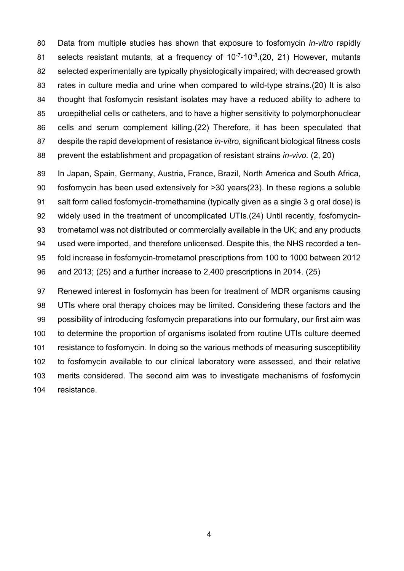Data from multiple studies has shown that exposure to fosfomycin *in-vitro* rapidly 81 selects resistant mutants, at a frequency of 10<sup>-7</sup>-10<sup>-8</sup>.(20, 21) However, mutants selected experimentally are typically physiologically impaired; with decreased growth rates in culture media and urine when compared to wild-type strains.(20) It is also thought that fosfomycin resistant isolates may have a reduced ability to adhere to uroepithelial cells or catheters, and to have a higher sensitivity to polymorphonuclear cells and serum complement killing.(22) Therefore, it has been speculated that despite the rapid development of resistance *in-vitro*, significant biological fitness costs prevent the establishment and propagation of resistant strains *in-vivo.* (2, 20)

 In Japan, Spain, Germany, Austria, France, Brazil, North America and South Africa, fosfomycin has been used extensively for >30 years(23). In these regions a soluble salt form called fosfomycin-tromethamine (typically given as a single 3 g oral dose) is widely used in the treatment of uncomplicated UTIs.(24) Until recently, fosfomycin- trometamol was not distributed or commercially available in the UK; and any products used were imported, and therefore unlicensed. Despite this, the NHS recorded a ten- fold increase in fosfomycin-trometamol prescriptions from 100 to 1000 between 2012 and 2013; (25) and a further increase to 2,400 prescriptions in 2014. (25)

 Renewed interest in fosfomycin has been for treatment of MDR organisms causing UTIs where oral therapy choices may be limited. Considering these factors and the possibility of introducing fosfomycin preparations into our formulary, our first aim was to determine the proportion of organisms isolated from routine UTIs culture deemed resistance to fosfomycin. In doing so the various methods of measuring susceptibility to fosfomycin available to our clinical laboratory were assessed, and their relative merits considered. The second aim was to investigate mechanisms of fosfomycin resistance.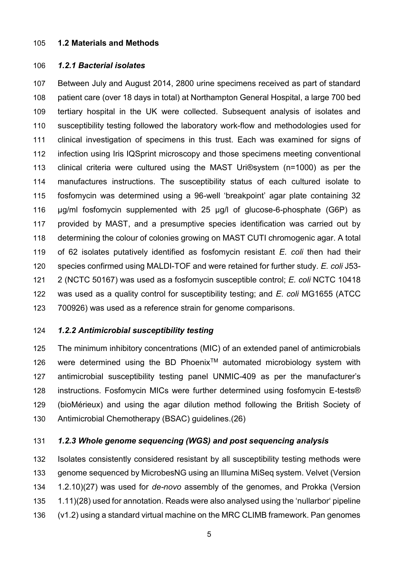### **1.2 Materials and Methods**

## *1.2.1 Bacterial isolates*

 Between July and August 2014, 2800 urine specimens received as part of standard patient care (over 18 days in total) at Northampton General Hospital, a large 700 bed tertiary hospital in the UK were collected. Subsequent analysis of isolates and susceptibility testing followed the laboratory work-flow and methodologies used for clinical investigation of specimens in this trust. Each was examined for signs of infection using Iris IQSprint microscopy and those specimens meeting conventional clinical criteria were cultured using the MAST Uri®system (n=1000) as per the manufactures instructions. The susceptibility status of each cultured isolate to fosfomycin was determined using a 96-well 'breakpoint' agar plate containing 32 µg/ml fosfomycin supplemented with 25 µg/l of glucose-6-phosphate (G6P) as provided by MAST, and a presumptive species identification was carried out by determining the colour of colonies growing on MAST CUTI chromogenic agar. A total of 62 isolates putatively identified as fosfomycin resistant *E. coli* then had their species confirmed using MALDI-TOF and were retained for further study. *E. coli* J53- 2 (NCTC 50167) was used as a fosfomycin susceptible control; *E. coli* NCTC 10418 was used as a quality control for susceptibility testing; and *E. coli* MG1655 (ATCC 700926) was used as a reference strain for genome comparisons.

## *1.2.2 Antimicrobial susceptibility testing*

 The minimum inhibitory concentrations (MIC) of an extended panel of antimicrobials 126 were determined using the BD Phoenix<sup>TM</sup> automated microbiology system with antimicrobial susceptibility testing panel UNMIC-409 as per the manufacturer's instructions. Fosfomycin MICs were further determined using fosfomycin E-tests® (bioMérieux) and using the agar dilution method following the British Society of Antimicrobial Chemotherapy (BSAC) guidelines.(26)

## *1.2.3 Whole genome sequencing (WGS) and post sequencing analysis*

 Isolates consistently considered resistant by all susceptibility testing methods were genome sequenced by MicrobesNG using an Illumina MiSeq system. Velvet (Version 1.2.10)(27) was used for *de-novo* assembly of the genomes, and Prokka (Version 1.11)(28) used for annotation. Reads were also analysed using the 'nullarbor' pipeline (v1.2) using a standard virtual machine on the MRC CLIMB framework. Pan genomes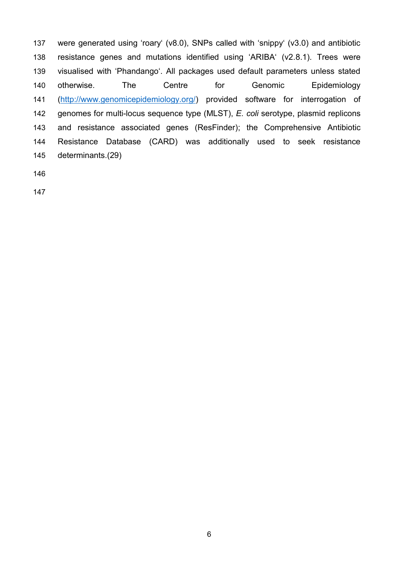were generated using 'roary' (v8.0), SNPs called with 'snippy' (v3.0) and antibiotic resistance genes and mutations identified using 'ARIBA' (v2.8.1). Trees were visualised with 'Phandango'. All packages used default parameters unless stated otherwise. The Centre for Genomic Epidemiology [\(http://www.genomicepidemiology.org/\)](http://www.genomicepidemiology.org/) provided software for interrogation of genomes for multi-locus sequence type (MLST), *E. coli* serotype, plasmid replicons and resistance associated genes (ResFinder); the Comprehensive Antibiotic Resistance Database (CARD) was additionally used to seek resistance determinants.(29)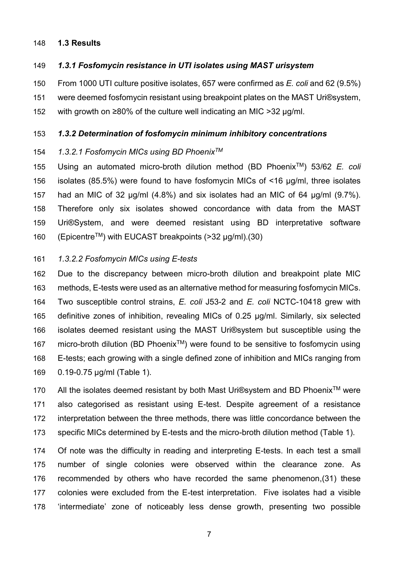### **1.3 Results**

*1.3.1 Fosfomycin resistance in UTI isolates using MAST urisystem*

 From 1000 UTI culture positive isolates, 657 were confirmed as *E. coli* and 62 (9.5%) were deemed fosfomycin resistant using breakpoint plates on the MAST Uri®system, with growth on ≥80% of the culture well indicating an MIC >32 µg/ml.

#### *1.3.2 Determination of fosfomycin minimum inhibitory concentrations*

#### *1.3.2.1 Fosfomycin MICs using BD PhoenixTM*

155 Using an automated micro-broth dilution method (BD Phoenix<sup>™</sup>) 53/62 *E. coli*  isolates (85.5%) were found to have fosfomycin MICs of <16 µg/ml, three isolates had an MIC of 32 µg/ml (4.8%) and six isolates had an MIC of 64 µg/ml (9.7%). Therefore only six isolates showed concordance with data from the MAST Uri®System, and were deemed resistant using BD interpretative software (Epicentre<sup>TM</sup>) with EUCAST breakpoints (>32  $\mu$ g/ml).(30)

#### *1.3.2.2 Fosfomycin MICs using E-tests*

 Due to the discrepancy between micro-broth dilution and breakpoint plate MIC methods, E-tests were used as an alternative method for measuring fosfomycin MICs. Two susceptible control strains, *E. coli* J53-2 and *E. coli* NCTC-10418 grew with definitive zones of inhibition, revealing MICs of 0.25 µg/ml. Similarly, six selected isolates deemed resistant using the MAST Uri®system but susceptible using the 167 micro-broth dilution (BD Phoenix<sup>TM</sup>) were found to be sensitive to fosfomycin using E-tests; each growing with a single defined zone of inhibition and MICs ranging from 0.19-0.75 µg/ml (Table 1).

170 All the isolates deemed resistant by both Mast Uri®system and BD Phoenix<sup>™</sup> were also categorised as resistant using E-test. Despite agreement of a resistance interpretation between the three methods, there was little concordance between the specific MICs determined by E-tests and the micro-broth dilution method (Table 1).

 Of note was the difficulty in reading and interpreting E-tests. In each test a small number of single colonies were observed within the clearance zone. As recommended by others who have recorded the same phenomenon,(31) these colonies were excluded from the E-test interpretation. Five isolates had a visible 'intermediate' zone of noticeably less dense growth, presenting two possible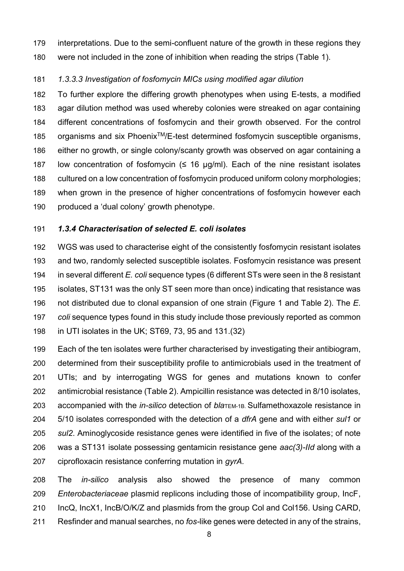interpretations. Due to the semi-confluent nature of the growth in these regions they were not included in the zone of inhibition when reading the strips (Table 1).

## *1.3.3.3 Investigation of fosfomycin MICs using modified agar dilution*

 To further explore the differing growth phenotypes when using E-tests, a modified agar dilution method was used whereby colonies were streaked on agar containing different concentrations of fosfomycin and their growth observed. For the control 185 organisms and six Phoenix<sup>TM</sup>/E-test determined fosfomycin susceptible organisms, either no growth, or single colony/scanty growth was observed on agar containing a 187 low concentration of fosfomycin  $(≤ 16 µg/ml)$ . Each of the nine resistant isolates cultured on a low concentration of fosfomycin produced uniform colony morphologies; when grown in the presence of higher concentrations of fosfomycin however each produced a 'dual colony' growth phenotype.

### *1.3.4 Characterisation of selected E. coli isolates*

 WGS was used to characterise eight of the consistently fosfomycin resistant isolates and two, randomly selected susceptible isolates. Fosfomycin resistance was present in several different *E. coli* sequence types (6 different STs were seen in the 8 resistant isolates, ST131 was the only ST seen more than once) indicating that resistance was not distributed due to clonal expansion of one strain (Figure 1 and Table 2). The *E. coli* sequence types found in this study include those previously reported as common in UTI isolates in the UK; ST69, 73, 95 and 131.(32)

 Each of the ten isolates were further characterised by investigating their antibiogram, determined from their susceptibility profile to antimicrobials used in the treatment of UTIs; and by interrogating WGS for genes and mutations known to confer antimicrobial resistance (Table 2). Ampicillin resistance was detected in 8/10 isolates, accompanied with the *in-silico* detection of *bla*TEM-1B. Sulfamethoxazole resistance in 5/10 isolates corresponded with the detection of a *dfrA* gene and with either *sul1* or *sul2*. Aminoglycoside resistance genes were identified in five of the isolates; of note was a ST131 isolate possessing gentamicin resistance gene *aac(3)-IId* along with a ciprofloxacin resistance conferring mutation in *gyrA.*

 The *in-silico* analysis also showed the presence of many common *Enterobacteriaceae* plasmid replicons including those of incompatibility group, IncF, IncQ, IncX1, IncB/O/K/Z and plasmids from the group Col and Col156. Using CARD, Resfinder and manual searches, no *fos-*like genes were detected in any of the strains,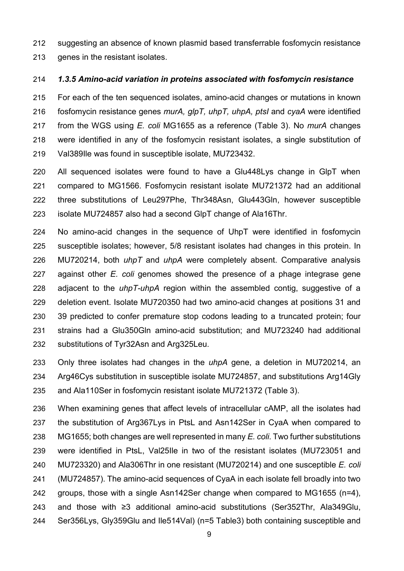suggesting an absence of known plasmid based transferrable fosfomycin resistance 213 genes in the resistant isolates.

### *1.3.5 Amino-acid variation in proteins associated with fosfomycin resistance*

 For each of the ten sequenced isolates, amino-acid changes or mutations in known fosfomycin resistance genes *murA, glpT, uhpT, uhpA, ptsI* and *cyaA* were identified from the WGS using *E. coli* MG1655 as a reference (Table 3). No *murA* changes were identified in any of the fosfomycin resistant isolates, a single substitution of Val389Ile was found in susceptible isolate, MU723432.

 All sequenced isolates were found to have a Glu448Lys change in GlpT when compared to MG1566. Fosfomycin resistant isolate MU721372 had an additional three substitutions of Leu297Phe, Thr348Asn, Glu443Gln, however susceptible isolate MU724857 also had a second GlpT change of Ala16Thr.

 No amino-acid changes in the sequence of UhpT were identified in fosfomycin susceptible isolates; however, 5/8 resistant isolates had changes in this protein. In MU720214, both *uhpT* and *uhpA* were completely absent. Comparative analysis against other *E. coli* genomes showed the presence of a phage integrase gene adjacent to the *uhpT-uhpA* region within the assembled contig, suggestive of a deletion event. Isolate MU720350 had two amino-acid changes at positions 31 and 39 predicted to confer premature stop codons leading to a truncated protein; four strains had a Glu350Gln amino-acid substitution; and MU723240 had additional substitutions of Tyr32Asn and Arg325Leu.

 Only three isolates had changes in the *uhpA* gene, a deletion in MU720214, an Arg46Cys substitution in susceptible isolate MU724857, and substitutions Arg14Gly and Ala110Ser in fosfomycin resistant isolate MU721372 (Table 3).

 When examining genes that affect levels of intracellular cAMP, all the isolates had the substitution of Arg367Lys in PtsL and Asn142Ser in CyaA when compared to MG1655; both changes are well represented in many *E. coli*. Two further substitutions were identified in PtsL, Val25Ile in two of the resistant isolates (MU723051 and MU723320) and Ala306Thr in one resistant (MU720214) and one susceptible *E. coli* (MU724857). The amino-acid sequences of CyaA in each isolate fell broadly into two groups, those with a single Asn142Ser change when compared to MG1655 (n=4), and those with ≥3 additional amino-acid substitutions (Ser352Thr, Ala349Glu, Ser356Lys, Gly359Glu and Ile514Val) (n=5 Table3) both containing susceptible and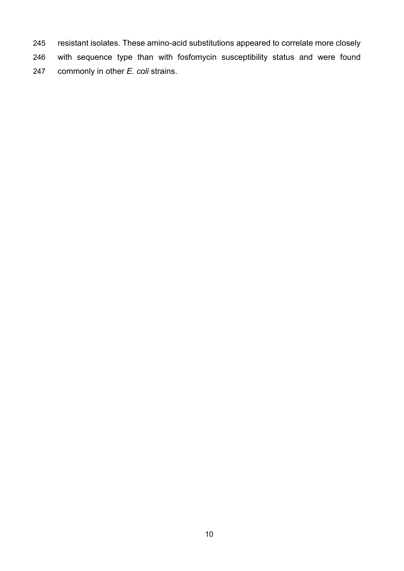resistant isolates. These amino-acid substitutions appeared to correlate more closely with sequence type than with fosfomycin susceptibility status and were found commonly in other *E. coli* strains.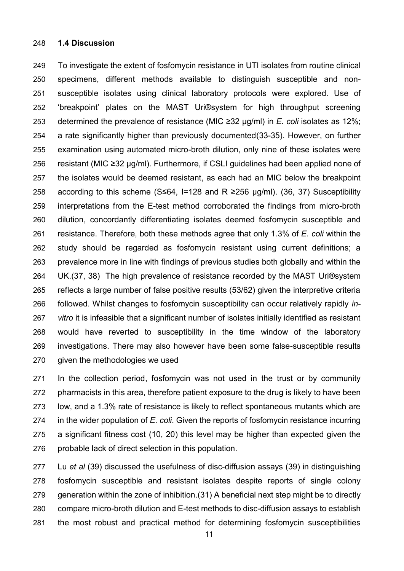#### **1.4 Discussion**

 To investigate the extent of fosfomycin resistance in UTI isolates from routine clinical specimens, different methods available to distinguish susceptible and non- susceptible isolates using clinical laboratory protocols were explored. Use of 'breakpoint' plates on the MAST Uri®system for high throughput screening determined the prevalence of resistance (MIC ≥32 µg/ml) in *E. coli* isolates as 12%; a rate significantly higher than previously documented(33-35). However, on further examination using automated micro-broth dilution, only nine of these isolates were resistant (MIC ≥32 µg/ml). Furthermore, if CSLI guidelines had been applied none of the isolates would be deemed resistant, as each had an MIC below the breakpoint according to this scheme (S≤64, I=128 and R ≥256 μg/ml). (36, 37) Susceptibility interpretations from the E-test method corroborated the findings from micro-broth dilution, concordantly differentiating isolates deemed fosfomycin susceptible and resistance. Therefore, both these methods agree that only 1.3% of *E. coli* within the study should be regarded as fosfomycin resistant using current definitions; a prevalence more in line with findings of previous studies both globally and within the UK.(37, 38) The high prevalence of resistance recorded by the MAST Uri®system reflects a large number of false positive results (53/62) given the interpretive criteria followed. Whilst changes to fosfomycin susceptibility can occur relatively rapidly *in- vitro* it is infeasible that a significant number of isolates initially identified as resistant would have reverted to susceptibility in the time window of the laboratory investigations. There may also however have been some false-susceptible results 270 given the methodologies we used

 In the collection period, fosfomycin was not used in the trust or by community pharmacists in this area, therefore patient exposure to the drug is likely to have been low, and a 1.3% rate of resistance is likely to reflect spontaneous mutants which are in the wider population of *E. coli*. Given the reports of fosfomycin resistance incurring a significant fitness cost (10, 20) this level may be higher than expected given the probable lack of direct selection in this population.

 Lu *et al* (39) discussed the usefulness of disc-diffusion assays (39) in distinguishing fosfomycin susceptible and resistant isolates despite reports of single colony generation within the zone of inhibition.(31) A beneficial next step might be to directly compare micro-broth dilution and E-test methods to disc-diffusion assays to establish the most robust and practical method for determining fosfomycin susceptibilities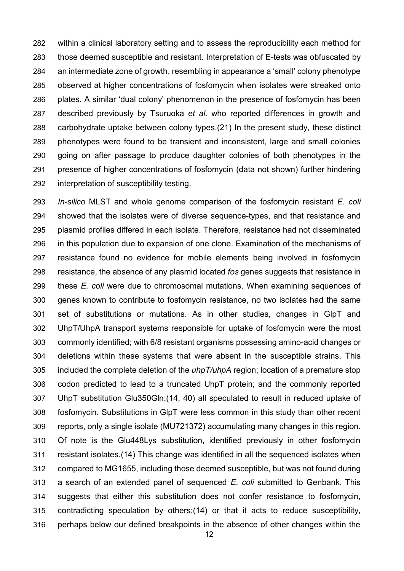within a clinical laboratory setting and to assess the reproducibility each method for those deemed susceptible and resistant. Interpretation of E-tests was obfuscated by an intermediate zone of growth, resembling in appearance a 'small' colony phenotype observed at higher concentrations of fosfomycin when isolates were streaked onto plates. A similar 'dual colony' phenomenon in the presence of fosfomycin has been described previously by Tsuruoka *et al.* who reported differences in growth and carbohydrate uptake between colony types.(21) In the present study, these distinct phenotypes were found to be transient and inconsistent, large and small colonies going on after passage to produce daughter colonies of both phenotypes in the presence of higher concentrations of fosfomycin (data not shown) further hindering interpretation of susceptibility testing.

 *In-silico* MLST and whole genome comparison of the fosfomycin resistant *E. coli* showed that the isolates were of diverse sequence-types, and that resistance and plasmid profiles differed in each isolate. Therefore, resistance had not disseminated in this population due to expansion of one clone. Examination of the mechanisms of resistance found no evidence for mobile elements being involved in fosfomycin resistance, the absence of any plasmid located *fos* genes suggests that resistance in these *E. coli* were due to chromosomal mutations. When examining sequences of genes known to contribute to fosfomycin resistance, no two isolates had the same set of substitutions or mutations. As in other studies, changes in GlpT and UhpT/UhpA transport systems responsible for uptake of fosfomycin were the most commonly identified; with 6/8 resistant organisms possessing amino-acid changes or deletions within these systems that were absent in the susceptible strains. This included the complete deletion of the *uhpT/uhpA* region; location of a premature stop codon predicted to lead to a truncated UhpT protein; and the commonly reported UhpT substitution Glu350Gln;(14, 40) all speculated to result in reduced uptake of fosfomycin. Substitutions in GlpT were less common in this study than other recent reports, only a single isolate (MU721372) accumulating many changes in this region. Of note is the Glu448Lys substitution, identified previously in other fosfomycin resistant isolates.(14) This change was identified in all the sequenced isolates when compared to MG1655, including those deemed susceptible, but was not found during a search of an extended panel of sequenced *E. coli* submitted to Genbank. This suggests that either this substitution does not confer resistance to fosfomycin, contradicting speculation by others;(14) or that it acts to reduce susceptibility, perhaps below our defined breakpoints in the absence of other changes within the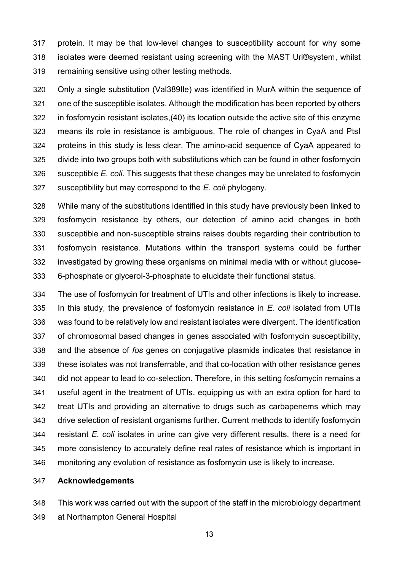protein. It may be that low-level changes to susceptibility account for why some isolates were deemed resistant using screening with the MAST Uri®system, whilst remaining sensitive using other testing methods.

 Only a single substitution (Val389Ile) was identified in MurA within the sequence of one of the susceptible isolates. Although the modification has been reported by others in fosfomycin resistant isolates,(40) its location outside the active site of this enzyme means its role in resistance is ambiguous. The role of changes in CyaA and PtsI proteins in this study is less clear. The amino-acid sequence of CyaA appeared to divide into two groups both with substitutions which can be found in other fosfomycin susceptible *E. coli.* This suggests that these changes may be unrelated to fosfomycin susceptibility but may correspond to the *E. coli* phylogeny.

 While many of the substitutions identified in this study have previously been linked to fosfomycin resistance by others, our detection of amino acid changes in both susceptible and non-susceptible strains raises doubts regarding their contribution to fosfomycin resistance. Mutations within the transport systems could be further investigated by growing these organisms on minimal media with or without glucose-6-phosphate or glycerol-3-phosphate to elucidate their functional status.

 The use of fosfomycin for treatment of UTIs and other infections is likely to increase. In this study, the prevalence of fosfomycin resistance in *E. coli* isolated from UTIs was found to be relatively low and resistant isolates were divergent. The identification of chromosomal based changes in genes associated with fosfomycin susceptibility, and the absence of *fos* genes on conjugative plasmids indicates that resistance in these isolates was not transferrable, and that co-location with other resistance genes did not appear to lead to co-selection. Therefore, in this setting fosfomycin remains a useful agent in the treatment of UTIs, equipping us with an extra option for hard to treat UTIs and providing an alternative to drugs such as carbapenems which may drive selection of resistant organisms further. Current methods to identify fosfomycin resistant *E. coli* isolates in urine can give very different results, there is a need for more consistency to accurately define real rates of resistance which is important in monitoring any evolution of resistance as fosfomycin use is likely to increase.

## **Acknowledgements**

 This work was carried out with the support of the staff in the microbiology department at Northampton General Hospital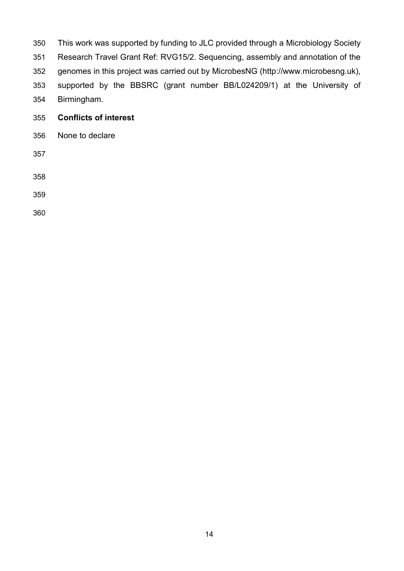- This work was supported by funding to JLC provided through a Microbiology Society Research Travel Grant Ref: RVG15/2. Sequencing, assembly and annotation of the genomes in this project was carried out by MicrobesNG (http://www.microbesng.uk), supported by the BBSRC (grant number BB/L024209/1) at the University of Birmingham. **Conflicts of interest**
- None to declare

- 
-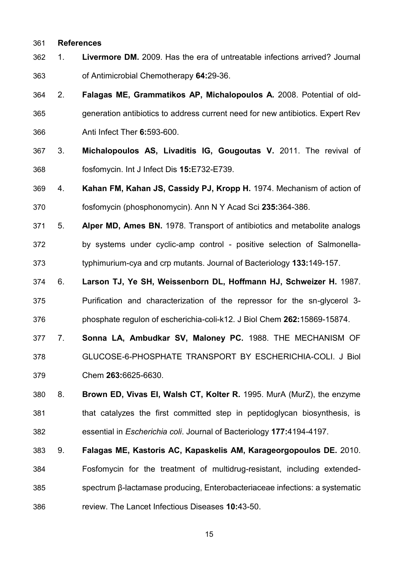## **References**

- 1. **Livermore DM.** 2009. Has the era of untreatable infections arrived? Journal of Antimicrobial Chemotherapy **64:**29-36.
- 2. **Falagas ME, Grammatikos AP, Michalopoulos A.** 2008. Potential of old- generation antibiotics to address current need for new antibiotics. Expert Rev Anti Infect Ther **6:**593-600.
- 3. **Michalopoulos AS, Livaditis IG, Gougoutas V.** 2011. The revival of fosfomycin. Int J Infect Dis **15:**E732-E739.
- 4. **Kahan FM, Kahan JS, Cassidy PJ, Kropp H.** 1974. Mechanism of action of fosfomycin (phosphonomycin). Ann N Y Acad Sci **235:**364-386.
- 5. **Alper MD, Ames BN.** 1978. Transport of antibiotics and metabolite analogs by systems under cyclic-amp control - positive selection of Salmonella-typhimurium-cya and crp mutants. Journal of Bacteriology **133:**149-157.
- 6. **Larson TJ, Ye SH, Weissenborn DL, Hoffmann HJ, Schweizer H.** 1987. Purification and characterization of the repressor for the sn-glycerol 3- phosphate regulon of escherichia-coli-k12. J Biol Chem **262:**15869-15874.
- 7. **Sonna LA, Ambudkar SV, Maloney PC.** 1988. THE MECHANISM OF
- GLUCOSE-6-PHOSPHATE TRANSPORT BY ESCHERICHIA-COLI. J Biol Chem **263:**6625-6630.
- 8. **Brown ED, Vivas EI, Walsh CT, Kolter R.** 1995. MurA (MurZ), the enzyme that catalyzes the first committed step in peptidoglycan biosynthesis, is essential in *Escherichia coli*. Journal of Bacteriology **177:**4194-4197.
- 9. **Falagas ME, Kastoris AC, Kapaskelis AM, Karageorgopoulos DE.** 2010. Fosfomycin for the treatment of multidrug-resistant, including extended- spectrum β-lactamase producing, Enterobacteriaceae infections: a systematic review. The Lancet Infectious Diseases **10:**43-50.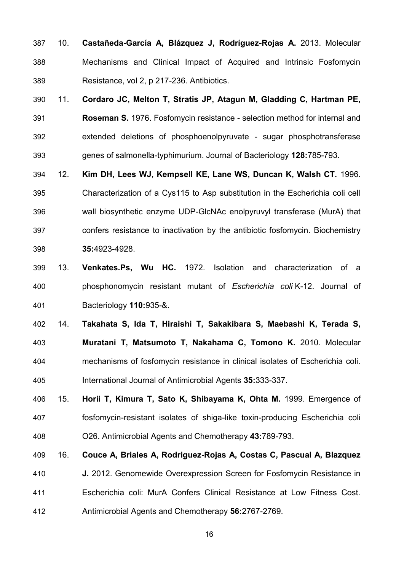- 10. **Castañeda-García A, Blázquez J, Rodríguez-Rojas A.** 2013. Molecular Mechanisms and Clinical Impact of Acquired and Intrinsic Fosfomycin Resistance, vol 2, p 217-236. Antibiotics.
- 11. **Cordaro JC, Melton T, Stratis JP, Atagun M, Gladding C, Hartman PE, Roseman S.** 1976. Fosfomycin resistance - selection method for internal and extended deletions of phosphoenolpyruvate - sugar phosphotransferase genes of salmonella-typhimurium. Journal of Bacteriology **128:**785-793.
- 12. **Kim DH, Lees WJ, Kempsell KE, Lane WS, Duncan K, Walsh CT.** 1996. Characterization of a Cys115 to Asp substitution in the Escherichia coli cell wall biosynthetic enzyme UDP-GlcNAc enolpyruvyl transferase (MurA) that confers resistance to inactivation by the antibiotic fosfomycin. Biochemistry **35:**4923-4928.
- 13. **Venkates.Ps, Wu HC.** 1972. Isolation and characterization of a phosphonomycin resistant mutant of *Escherichia coli* K-12. Journal of Bacteriology **110:**935-&.
- 14. **Takahata S, Ida T, Hiraishi T, Sakakibara S, Maebashi K, Terada S, Muratani T, Matsumoto T, Nakahama C, Tomono K.** 2010. Molecular mechanisms of fosfomycin resistance in clinical isolates of Escherichia coli. International Journal of Antimicrobial Agents **35:**333-337.
- 15. **Horii T, Kimura T, Sato K, Shibayama K, Ohta M.** 1999. Emergence of fosfomycin-resistant isolates of shiga-like toxin-producing Escherichia coli O26. Antimicrobial Agents and Chemotherapy **43:**789-793.
- 16. **Couce A, Briales A, Rodriguez-Rojas A, Costas C, Pascual A, Blazquez**

 **J.** 2012. Genomewide Overexpression Screen for Fosfomycin Resistance in Escherichia coli: MurA Confers Clinical Resistance at Low Fitness Cost. Antimicrobial Agents and Chemotherapy **56:**2767-2769.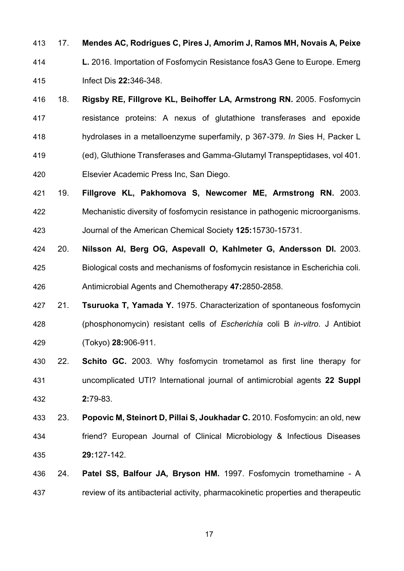- 17. **Mendes AC, Rodrigues C, Pires J, Amorim J, Ramos MH, Novais A, Peixe**
- **L.** 2016. Importation of Fosfomycin Resistance fosA3 Gene to Europe. Emerg Infect Dis **22:**346-348.
- 18. **Rigsby RE, Fillgrove KL, Beihoffer LA, Armstrong RN.** 2005. Fosfomycin resistance proteins: A nexus of glutathione transferases and epoxide hydrolases in a metalloenzyme superfamily, p 367-379. *In* Sies H, Packer L (ed), Gluthione Transferases and Gamma-Glutamyl Transpeptidases, vol 401. Elsevier Academic Press Inc, San Diego.
- 19. **Fillgrove KL, Pakhomova S, Newcomer ME, Armstrong RN.** 2003. Mechanistic diversity of fosfomycin resistance in pathogenic microorganisms. Journal of the American Chemical Society **125:**15730-15731.
- 20. **Nilsson AI, Berg OG, Aspevall O, Kahlmeter G, Andersson DI.** 2003. Biological costs and mechanisms of fosfomycin resistance in Escherichia coli. Antimicrobial Agents and Chemotherapy **47:**2850-2858.
- 21. **Tsuruoka T, Yamada Y.** 1975. Characterization of spontaneous fosfomycin (phosphonomycin) resistant cells of *Escherichia* coli B *in-vitro*. J Antibiot (Tokyo) **28:**906-911.
- 22. **Schito GC.** 2003. Why fosfomycin trometamol as first line therapy for uncomplicated UTI? International journal of antimicrobial agents **22 Suppl 2:**79-83.
- 23. **Popovic M, Steinort D, Pillai S, Joukhadar C.** 2010. Fosfomycin: an old, new friend? European Journal of Clinical Microbiology & Infectious Diseases **29:**127-142.
- 24. **Patel SS, Balfour JA, Bryson HM.** 1997. Fosfomycin tromethamine A review of its antibacterial activity, pharmacokinetic properties and therapeutic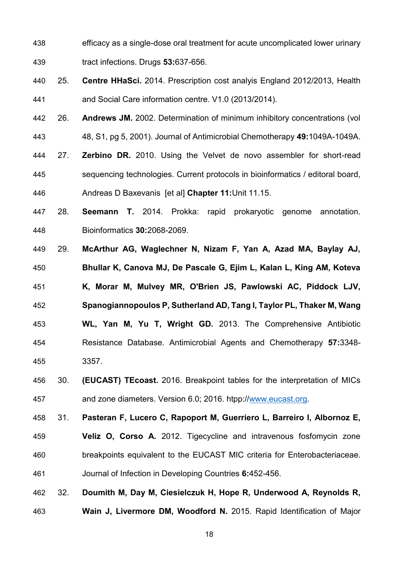- efficacy as a single-dose oral treatment for acute uncomplicated lower urinary tract infections. Drugs **53:**637-656.
- 25. **Centre HHaSci.** 2014. Prescription cost analyis England 2012/2013, Health and Social Care information centre. V1.0 (2013/2014).
- 26. **Andrews JM.** 2002. Determination of minimum inhibitory concentrations (vol 48, S1, pg 5, 2001). Journal of Antimicrobial Chemotherapy **49:**1049A-1049A.
- 27. **Zerbino DR.** 2010. Using the Velvet de novo assembler for short-read sequencing technologies. Current protocols in bioinformatics / editoral board, Andreas D Baxevanis [et al] **Chapter 11:**Unit 11.15.
- 28. **Seemann T.** 2014. Prokka: rapid prokaryotic genome annotation. Bioinformatics **30:**2068-2069.
- 29. **McArthur AG, Waglechner N, Nizam F, Yan A, Azad MA, Baylay AJ, Bhullar K, Canova MJ, De Pascale G, Ejim L, Kalan L, King AM, Koteva K, Morar M, Mulvey MR, O'Brien JS, Pawlowski AC, Piddock LJV, Spanogiannopoulos P, Sutherland AD, Tang I, Taylor PL, Thaker M, Wang WL, Yan M, Yu T, Wright GD.** 2013. The Comprehensive Antibiotic Resistance Database. Antimicrobial Agents and Chemotherapy **57:**3348- 3357.
- 30. **(EUCAST) TEcoast.** 2016. Breakpoint tables for the interpretation of MICs and zone diameters. Version 6.0; 2016. htpp:/[/www.eucast.org.](http://www.eucast.org/)

 31. **Pasteran F, Lucero C, Rapoport M, Guerriero L, Barreiro I, Albornoz E, Veliz O, Corso A.** 2012. Tigecycline and intravenous fosfomycin zone breakpoints equivalent to the EUCAST MIC criteria for Enterobacteriaceae. Journal of Infection in Developing Countries **6:**452-456.

 32. **Doumith M, Day M, Ciesielczuk H, Hope R, Underwood A, Reynolds R, Wain J, Livermore DM, Woodford N.** 2015. Rapid Identification of Major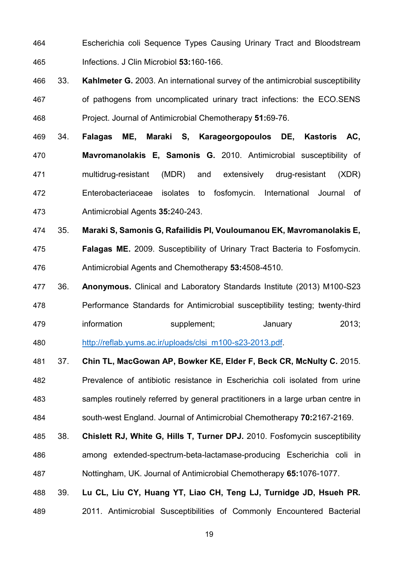- Escherichia coli Sequence Types Causing Urinary Tract and Bloodstream Infections. J Clin Microbiol **53:**160-166.
- 33. **Kahlmeter G.** 2003. An international survey of the antimicrobial susceptibility of pathogens from uncomplicated urinary tract infections: the ECO.SENS Project. Journal of Antimicrobial Chemotherapy **51:**69-76.
- 34. **Falagas ME, Maraki S, Karageorgopoulos DE, Kastoris AC, Mavromanolakis E, Samonis G.** 2010. Antimicrobial susceptibility of multidrug-resistant (MDR) and extensively drug-resistant (XDR) Enterobacteriaceae isolates to fosfomycin. International Journal of Antimicrobial Agents **35:**240-243.
- 35. **Maraki S, Samonis G, Rafailidis PI, Vouloumanou EK, Mavromanolakis E, Falagas ME.** 2009. Susceptibility of Urinary Tract Bacteria to Fosfomycin. Antimicrobial Agents and Chemotherapy **53:**4508-4510.
- 36. **Anonymous.** Clinical and Laboratory Standards Institute (2013) M100-S23 Performance Standards for Antimicrobial susceptibility testing; twenty-third information supplement; January 2013;
- [http://reflab.yums.ac.ir/uploads/clsi\\_m100-s23-2013.pdf.](http://reflab.yums.ac.ir/uploads/clsi_m100-s23-2013.pdf)
- 37. **Chin TL, MacGowan AP, Bowker KE, Elder F, Beck CR, McNulty C.** 2015. Prevalence of antibiotic resistance in Escherichia coli isolated from urine samples routinely referred by general practitioners in a large urban centre in south-west England. Journal of Antimicrobial Chemotherapy **70:**2167-2169.
- 38. **Chislett RJ, White G, Hills T, Turner DPJ.** 2010. Fosfomycin susceptibility among extended-spectrum-beta-lactamase-producing Escherichia coli in Nottingham, UK. Journal of Antimicrobial Chemotherapy **65:**1076-1077.
- 39. **Lu CL, Liu CY, Huang YT, Liao CH, Teng LJ, Turnidge JD, Hsueh PR.**  2011. Antimicrobial Susceptibilities of Commonly Encountered Bacterial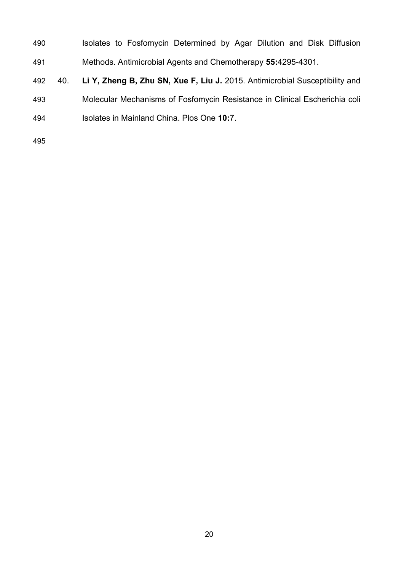- **Isolates to Fosfomycin Determined by Agar Dilution and Disk Diffusion** Methods. Antimicrobial Agents and Chemotherapy **55:**4295-4301.
- 40. **Li Y, Zheng B, Zhu SN, Xue F, Liu J.** 2015. Antimicrobial Susceptibility and Molecular Mechanisms of Fosfomycin Resistance in Clinical Escherichia coli Isolates in Mainland China. Plos One **10:**7.
-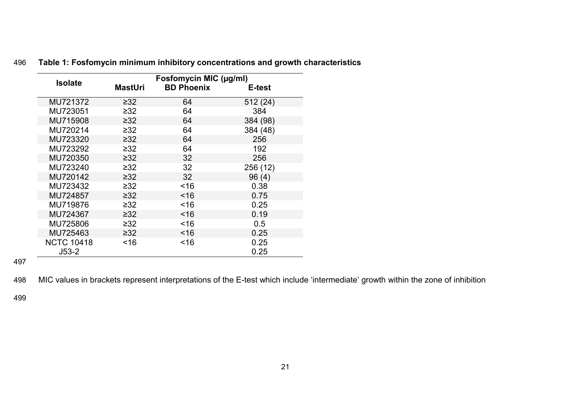| <b>Isolate</b>    | Fosfomycin MIC (µg/ml) |                   |          |  |  |  |  |
|-------------------|------------------------|-------------------|----------|--|--|--|--|
|                   | <b>MastUri</b>         | <b>BD Phoenix</b> | E-test   |  |  |  |  |
| MU721372          | $\geq 32$              | 64                | 512 (24) |  |  |  |  |
| MU723051          | $\geq 32$              | 64                | 384      |  |  |  |  |
| MU715908          | $\geq 32$              | 64                | 384 (98) |  |  |  |  |
| MU720214          | $\geq 32$              | 64                | 384 (48) |  |  |  |  |
| MU723320          | $\geq 32$              | 64                | 256      |  |  |  |  |
| MU723292          | $\geq 32$              | 64                | 192      |  |  |  |  |
| MU720350          | $\geq 32$              | 32                | 256      |  |  |  |  |
| MU723240          | $\geq 32$              | 32                | 256 (12) |  |  |  |  |
| MU720142          | $\geq 32$              | 32                | 96(4)    |  |  |  |  |
| MU723432          | $\geq 32$              | ~16               | 0.38     |  |  |  |  |
| MU724857          | $\geq 32$              | ~16               | 0.75     |  |  |  |  |
| MU719876          | $\geq 32$              | ~16               | 0.25     |  |  |  |  |
| MU724367          | $\geq 32$              | ~16               | 0.19     |  |  |  |  |
| MU725806          | $\geq$ 32              | ~16               | 0.5      |  |  |  |  |
| MU725463          | $\geq$ 32              | ~16               | 0.25     |  |  |  |  |
| <b>NCTC 10418</b> | ~16                    | ~16               | 0.25     |  |  |  |  |
| $J53-2$           |                        |                   | 0.25     |  |  |  |  |

## 496 **Table 1: Fosfomycin minimum inhibitory concentrations and growth characteristics**

497

498 MIC values in brackets represent interpretations of the E-test which include 'intermediate' growth within the zone of inhibition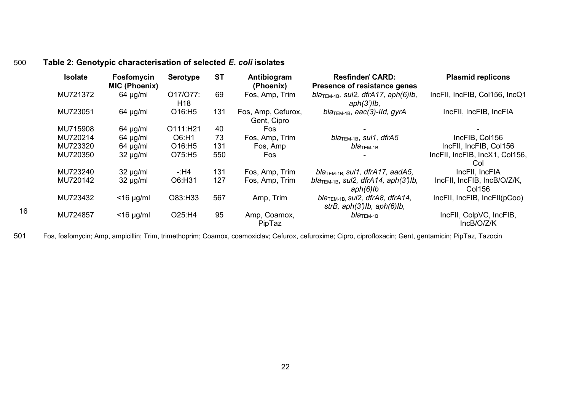## 500 **Table 2: Genotypic characterisation of selected** *E. coli* **isolates**

16

| <b>Isolate</b> | Fosfomycin           | <b>Serotype</b>             | <b>ST</b> | Antibiogram                       | <b>Resfinder/ CARD:</b>                                                                         | <b>Plasmid replicons</b>              |
|----------------|----------------------|-----------------------------|-----------|-----------------------------------|-------------------------------------------------------------------------------------------------|---------------------------------------|
|                | <b>MIC (Phoenix)</b> |                             |           | (Phoenix)                         | Presence of resistance genes                                                                    |                                       |
| MU721372       | $64 \mu g/ml$        | O17/O77:<br>H <sub>18</sub> | 69        | Fos, Amp, Trim                    | $blaTEM-1B$ , sul2, dfrA17, aph(6)lb,<br>$aph(3')$ lb,                                          | IncFII, IncFIB, Col156, IncQ1         |
| MU723051       | $64 \mu g/ml$        | O16:H5                      | 131       | Fos, Amp, Cefurox,<br>Gent, Cipro | $bla$ <sub>TEM-1B</sub> , aac(3)-IId, gyrA                                                      | IncFII, IncFIB, IncFIA                |
| MU715908       | $64 \mu g/ml$        | O111:H21                    | 40        | Fos                               |                                                                                                 |                                       |
| MU720214       | $64 \mu g/ml$        | O6:H1                       | 73        | Fos, Amp, Trim                    | $bla$ <sub>TEM-1B</sub> , sul1, dfrA5                                                           | IncFIB, Col156                        |
| MU723320       | $64 \mu g/ml$        | O16:H5                      | 131       | Fos, Amp                          | $b$ lа $_{\rm TEM\text{-}1B}$                                                                   | IncFII, IncFIB, Col156                |
| MU720350       | $32 \mu g/ml$        | O75:H5                      | 550       | Fos                               |                                                                                                 | IncFII, IncFIB, IncX1, Col156,<br>Col |
| MU723240       | $32 \mu g/ml$        | -:H4                        | 131       | Fos, Amp, Trim                    | bla <sub>TEM-1B</sub> sul1, dfrA17, aadA5,                                                      | IncFII, IncFIA                        |
| MU720142       | $32 \mu g/ml$        | O6:H31                      | 127       | Fos, Amp, Trim                    | bla <sub>TEM-1B</sub> , sul2, dfrA14, aph(3')lb,<br>$aph(6)$ lb                                 | IncFII, IncFIB, IncB/O/Z/K,<br>Col156 |
| MU723432       | $<$ 16 µg/ml         | O83:H33                     | 567       | Amp, Trim                         | $bla$ <sub>TEM-1B</sub> , sul <sub>2</sub> , dfrA8, dfrA14,<br>strB, $aph(3')$ lb, $aph(6)$ lb, | IncFII, IncFIB, IncFII(pCoo)          |
| MU724857       | $<$ 16 µg/ml         | O25:H4                      | 95        | Amp, Coamox,<br>PipTaz            | $b$ lа $_{\rm TEM\text{-}1B}$                                                                   | IncFII, ColpVC, IncFIB,<br>IncB/O/Z/K |

501 Fos, fosfomycin; Amp, ampicillin; Trim, trimethoprim; Coamox, coamoxiclav; Cefurox, cefuroxime; Cipro, ciprofloxacin; Gent, gentamicin; PipTaz, Tazocin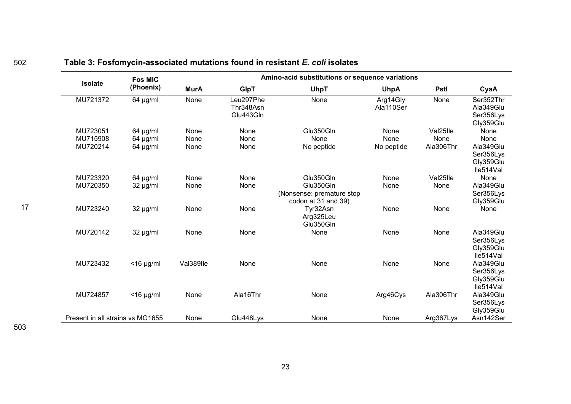|                                  | <b>Fos MIC</b><br>(Phoenix) | Amino-acid substitutions or sequence variations |                                     |                                                               |                       |             |                                                  |  |  |  |
|----------------------------------|-----------------------------|-------------------------------------------------|-------------------------------------|---------------------------------------------------------------|-----------------------|-------------|--------------------------------------------------|--|--|--|
| <b>Isolate</b>                   |                             | <b>MurA</b>                                     | <b>GlpT</b>                         | <b>UhpT</b>                                                   | <b>UhpA</b>           | <b>Pstl</b> | CyaA                                             |  |  |  |
| MU721372                         | $64 \mu g/ml$               | None                                            | Leu297Phe<br>Thr348Asn<br>Glu443Gln | None                                                          | Arg14Gly<br>Ala110Ser | None        | Ser352Thr<br>Ala349Glu<br>Ser356Lys<br>Gly359Glu |  |  |  |
| MU723051                         | $64 \mu g/ml$               | None                                            | None                                | Glu350Gln                                                     | None                  | Val25lle    | None                                             |  |  |  |
| MU715908                         | $64$ µg/ml                  | None                                            | None                                | None                                                          | None                  | None        | None                                             |  |  |  |
| MU720214                         | $64 \mu g/ml$               | None                                            | None                                | No peptide                                                    | No peptide            | Ala306Thr   | Ala349Glu<br>Ser356Lys<br>Gly359Glu<br>lle514Val |  |  |  |
| MU723320                         | $64$ µg/ml                  | None                                            | None                                | Glu350Gln                                                     | None                  | Val25lle    | None                                             |  |  |  |
| MU720350                         | $32 \mu g/ml$               | None                                            | None                                | Glu350Gln<br>(Nonsense: premature stop<br>codon at 31 and 39) | None                  | None        | Ala349Glu<br>Ser356Lys<br>Gly359Glu              |  |  |  |
| MU723240                         | $32 \mu g/ml$               | None                                            | None                                | Tyr32Asn<br>Arg325Leu<br>Glu350Gln                            | None                  | None        | None                                             |  |  |  |
| MU720142                         | $32 \mu g/ml$               | None                                            | None                                | None                                                          | None                  | None        | Ala349Glu<br>Ser356Lys<br>Gly359Glu<br>lle514Val |  |  |  |
| MU723432                         | $<$ 16 µg/ml                | Val389lle                                       | None                                | None                                                          | None                  | None        | Ala349Glu<br>Ser356Lys<br>Gly359Glu<br>lle514Val |  |  |  |
| MU724857                         | $<$ 16 µg/ml                | None                                            | Ala16Thr                            | None                                                          | Arg46Cys              | Ala306Thr   | Ala349Glu<br>Ser356Lys<br>Gly359Glu              |  |  |  |
| Present in all strains vs MG1655 |                             | None                                            | Glu448Lys                           | None                                                          | None                  | Arg367Lys   | Asn142Ser                                        |  |  |  |

# <sup>502</sup> **Table 3: Fosfomycin-associated mutations found in resistant** *E. coli* **isolates**

17